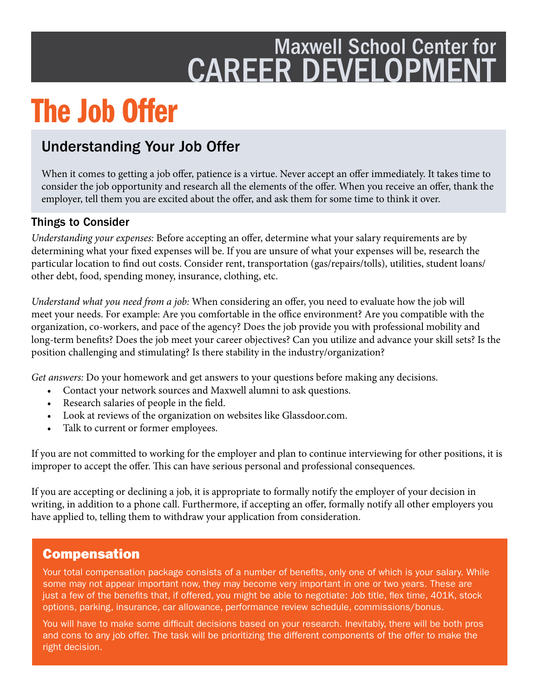## Maxwell School Center for CAREER DEVELOPMENT

# The Job Offer

### Understanding Your Job Offer

When it comes to getting a job offer, patience is a virtue. Never accept an offer immediately. It takes time to consider the job opportunity and research all the elements of the offer. When you receive an offer, thank the employer, tell them you are excited about the offer, and ask them for some time to think it over.

#### Things to Consider

*Understanding your expenses: Before accepting an offer, determine what your salary requirements are by* determining what your fxed expenses will be. If you are unsure of what your expenses will be, research the particular location to fnd out costs. Consider rent, transportation (gas/repairs/tolls), utilities, student loans/ other debt, food, spending money, insurance, clothing, etc.

*Understand what you need from a job:* When considering an offer, you need to evaluate how the job will meet your needs. For example: Are you comfortable in the office environment? Are you compatible with the organization, co-workers, and pace of the agency? Does the job provide you with professional mobility and long-term benefts? Does the job meet your career objectives? Can you utilize and advance your skill sets? Is the position challenging and stimulating? Is there stability in the industry/organization?

*Get answers:* Do your homework and get answers to your questions before making any decisions.

- Contact your network sources and Maxwell alumni to ask questions.
- Research salaries of people in the feld.
- Look at reviews of the organization on websites like Glassdoor.com.
- Talk to current or former employees.

If you are not committed to working for the employer and plan to continue interviewing for other positions, it is improper to accept the offer. This can have serious personal and professional consequences.

If you are accepting or declining a job, it is appropriate to formally notify the employer of your decision in writing, in addition to a phone call. Furthermore, if accepting an offer, formally notify all other employers you have applied to, telling them to withdraw your application from consideration.

#### Compensation

Your total compensation package consists of a number of benefits, only one of which is your salary. While some may not appear important now, they may become very important in one or two years. These are just a few of the benefits that, if offered, you might be able to negotiate: Job title, flex time, 401K, stock options, parking, insurance, car allowance, performance review schedule, commissions/bonus.

You will have to make some difficult decisions based on your research. Inevitably, there will be both pros and cons to any job offer. The task will be prioritizing the different components of the offer to make the right decision.